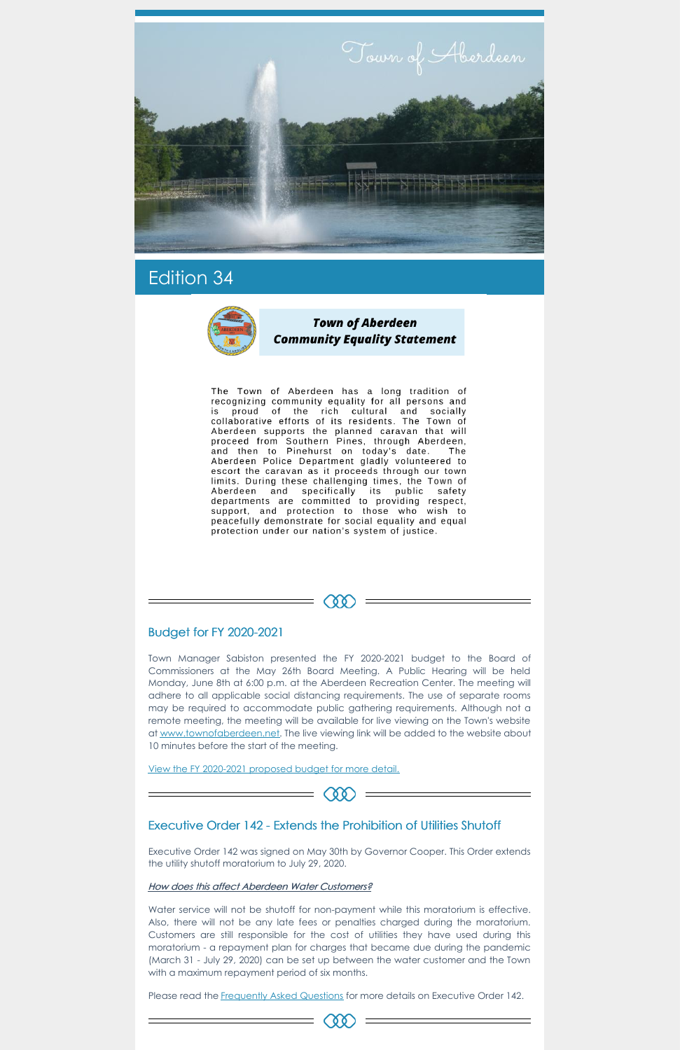

# Edition 34



**Town of Aberdeen Community Equality Statement** 

The Town of Aberdeen has a long tradition of recognizing community equality for all persons and is proud of the rich cultural and socially<br>collaborative efforts of its residents. The Town of Aberdeen supports the planned caravan that will proceed from Southern Pines, through Aberdeen, and then to Pinehurst on today's date. The Aberdeen Police Department gladly volunteered to escort the caravan as it proceeds through our town limits. During these challenging times, the Town of Aberdeen and specifically its public safety departments are committed to providing respect, support, and protection to those who wish to peacefully demonstrate for social equality and equal protection under our nation's system of justice.

# Budget for FY 2020-2021

Town Manager Sabiston presented the FY 2020-2021 budget to the Board of Commissioners at the May 26th Board Meeting. A Public Hearing will be held Monday, June 8th at 6:00 p.m. at the Aberdeen Recreation Center. The meeting will adhere to all applicable social distancing requirements. The use of separate rooms may be required to accommodate public gathering requirements. Although not a remote meeting, the meeting will be available for live viewing on the Town's website at [www.townofaberdeen.net](http://www.townofaberdeen.net). The live viewing link will be added to the website about 10 minutes before the start of the meeting.

Œ

Water service will not be shutoff for non-payment while this moratorium is effective. Also, there will not be any late fees or penalties charged during the moratorium. Customers are still responsible for the cost of utilities they have used during this moratorium - a repayment plan for charges that became due during the pandemic (March 31 - July 29, 2020) can be set up between the water customer and the Town with a maximum repayment period of six months.

Please read the [Frequently](https://files.nc.gov/governor/documents/files/EO-142-FAQ.pdf) Asked Questions for more details on Executive Order 142.

View the FY [2020-2021](https://www.townofaberdeen.net/files/documents/FY2020-2021Budget134025201052720PM.pdf) proposed budget for more detail.

## Executive Order 142 - Extends the Prohibition of Utilities Shutoff

Executive Order 142 was signed on May 30th by Governor Cooper. This Order extends the utility shutoff moratorium to July 29, 2020.

#### How does this affect Aberdeen Water Customers?